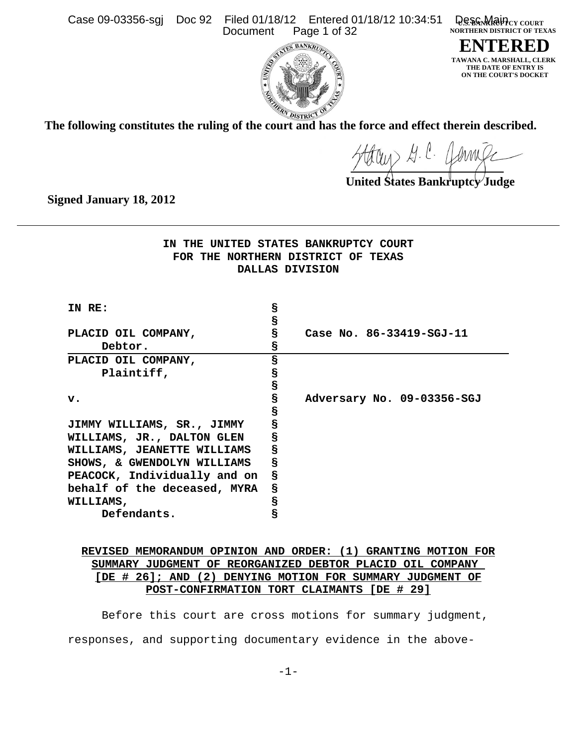Case 09-03356-sgj Doc 92 Filed 01/18/12 Entered 01/18/12 10:34:51<br>Document Page 1 of 32 Page 1 of 32

**Q.S. S. Main**cy COURT **NORTHERN DISTRICT OF TEXAS**

**ENTERED TAWANA C. MARSHALL, CLERK THE DATE OF ENTRY IS ON THE COURT'S DOCKET**



**The following constitutes the ruling of the court and has the force and effect therein described.**

Harry G. C. James

**United States Bankruptcy Judge**

**Signed January 18, 2012**

**IN THE UNITED STATES BANKRUPTCY COURT FOR THE NORTHERN DISTRICT OF TEXAS DALLAS DIVISION**

| IN RE:                       | S |                            |
|------------------------------|---|----------------------------|
|                              | S |                            |
| PLACID OIL COMPANY,          | S | Case No. 86-33419-SGJ-11   |
| Debtor.                      | S |                            |
| PLACID OIL COMPANY,          | S |                            |
| Plaintiff,                   | S |                            |
|                              | S |                            |
| $\mathbf{v}$ .               | S | Adversary No. 09-03356-SGJ |
|                              | S |                            |
| JIMMY WILLIAMS, SR., JIMMY   | S |                            |
| WILLIAMS, JR., DALTON GLEN   | S |                            |
| WILLIAMS, JEANETTE WILLIAMS  | S |                            |
| SHOWS, & GWENDOLYN WILLIAMS  | S |                            |
| PEACOCK, Individually and on | S |                            |
| behalf of the deceased, MYRA | S |                            |
| WILLIAMS,                    | S |                            |
| Defendants.                  | 5 |                            |

# **REVISED MEMORANDUM OPINION AND ORDER: (1) GRANTING MOTION FOR SUMMARY JUDGMENT OF REORGANIZED DEBTOR PLACID OIL COMPANY [DE # 26]; AND (2) DENYING MOTION FOR SUMMARY JUDGMENT OF POST-CONFIRMATION TORT CLAIMANTS [DE # 29]**

Before this court are cross motions for summary judgment, responses, and supporting documentary evidence in the above-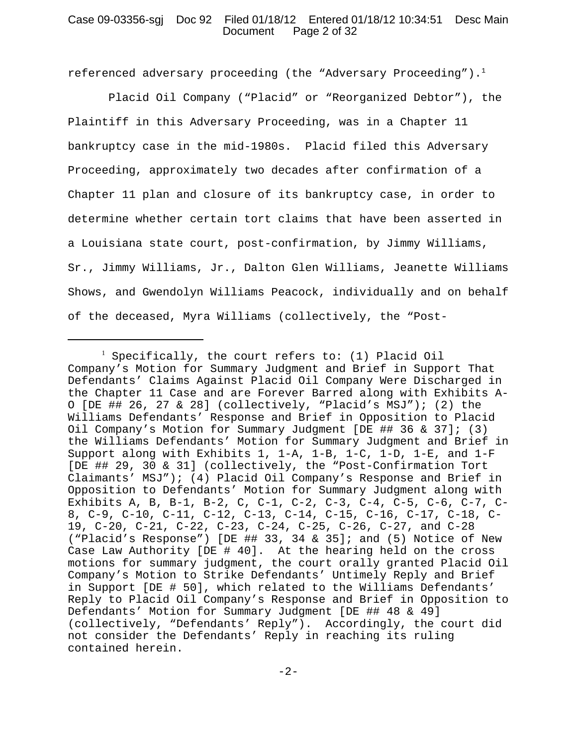# Case 09-03356-sgj Doc 92 Filed 01/18/12 Entered 01/18/12 10:34:51 Desc Main Document Page 2 of 32

referenced adversary proceeding (the "Adversary Proceeding").<sup>1</sup>

 Placid Oil Company ("Placid" or "Reorganized Debtor"), the Plaintiff in this Adversary Proceeding, was in a Chapter 11 bankruptcy case in the mid-1980s. Placid filed this Adversary Proceeding, approximately two decades after confirmation of a Chapter 11 plan and closure of its bankruptcy case, in order to determine whether certain tort claims that have been asserted in a Louisiana state court, post-confirmation, by Jimmy Williams, Sr., Jimmy Williams, Jr., Dalton Glen Williams, Jeanette Williams Shows, and Gwendolyn Williams Peacock, individually and on behalf of the deceased, Myra Williams (collectively, the "Post-

<sup>1</sup> Specifically, the court refers to: (1) Placid Oil Company's Motion for Summary Judgment and Brief in Support That Defendants' Claims Against Placid Oil Company Were Discharged in the Chapter 11 Case and are Forever Barred along with Exhibits A-O [DE ## 26, 27 & 28] (collectively, "Placid's MSJ"); (2) the Williams Defendants' Response and Brief in Opposition to Placid Oil Company's Motion for Summary Judgment [DE ## 36 & 37]; (3) the Williams Defendants' Motion for Summary Judgment and Brief in Support along with Exhibits 1, 1-A, 1-B, 1-C, 1-D, 1-E, and 1-F [DE ## 29, 30 & 31] (collectively, the "Post-Confirmation Tort Claimants' MSJ"); (4) Placid Oil Company's Response and Brief in Opposition to Defendants' Motion for Summary Judgment along with Exhibits A, B, B-1, B-2, C, C-1, C-2, C-3, C-4, C-5, C-6, C-7, C-8, C-9, C-10, C-11, C-12, C-13, C-14, C-15, C-16, C-17, C-18, C-19, C-20, C-21, C-22, C-23, C-24, C-25, C-26, C-27, and C-28 ("Placid's Response") [DE ## 33, 34 & 35]; and (5) Notice of New Case Law Authority [DE # 40]. At the hearing held on the cross motions for summary judgment, the court orally granted Placid Oil Company's Motion to Strike Defendants' Untimely Reply and Brief in Support [DE # 50], which related to the Williams Defendants' Reply to Placid Oil Company's Response and Brief in Opposition to Defendants' Motion for Summary Judgment [DE ## 48 & 49] (collectively, "Defendants' Reply"). Accordingly, the court did not consider the Defendants' Reply in reaching its ruling contained herein.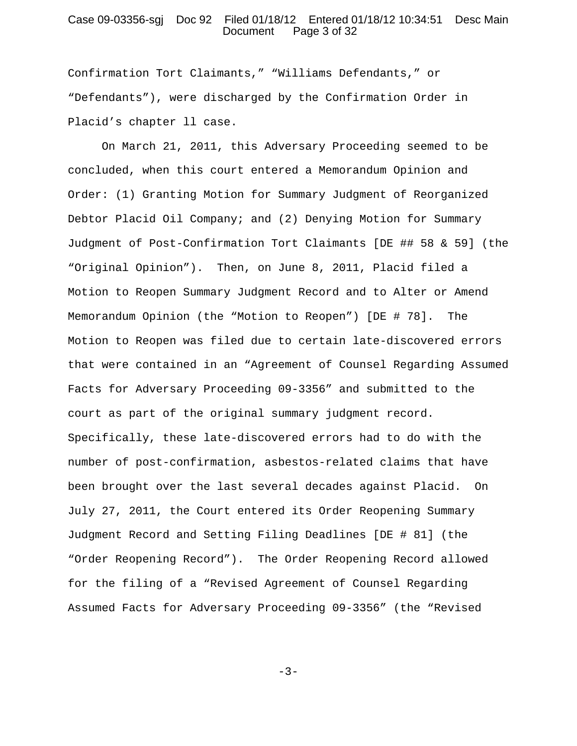#### Case 09-03356-sgj Doc 92 Filed 01/18/12 Entered 01/18/12 10:34:51 Desc Main Document Page 3 of 32

Confirmation Tort Claimants," "Williams Defendants," or "Defendants"), were discharged by the Confirmation Order in Placid's chapter ll case.

On March 21, 2011, this Adversary Proceeding seemed to be concluded, when this court entered a Memorandum Opinion and Order: (1) Granting Motion for Summary Judgment of Reorganized Debtor Placid Oil Company; and (2) Denying Motion for Summary Judgment of Post-Confirmation Tort Claimants [DE ## 58 & 59] (the "Original Opinion"). Then, on June 8, 2011, Placid filed a Motion to Reopen Summary Judgment Record and to Alter or Amend Memorandum Opinion (the "Motion to Reopen") [DE # 78]. The Motion to Reopen was filed due to certain late-discovered errors that were contained in an "Agreement of Counsel Regarding Assumed Facts for Adversary Proceeding 09-3356" and submitted to the court as part of the original summary judgment record. Specifically, these late-discovered errors had to do with the number of post-confirmation, asbestos-related claims that have been brought over the last several decades against Placid. On July 27, 2011, the Court entered its Order Reopening Summary Judgment Record and Setting Filing Deadlines [DE # 81] (the "Order Reopening Record"). The Order Reopening Record allowed for the filing of a "Revised Agreement of Counsel Regarding Assumed Facts for Adversary Proceeding 09-3356" (the "Revised

 $-3-$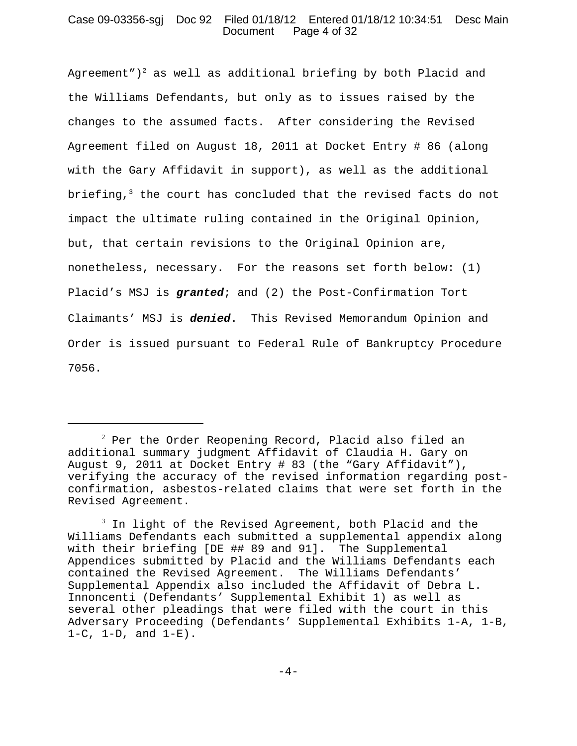# Case 09-03356-sgj Doc 92 Filed 01/18/12 Entered 01/18/12 10:34:51 Desc Main Document Page 4 of 32

Agreement")<sup>2</sup> as well as additional briefing by both Placid and the Williams Defendants, but only as to issues raised by the changes to the assumed facts. After considering the Revised Agreement filed on August 18, 2011 at Docket Entry # 86 (along with the Gary Affidavit in support), as well as the additional briefing, $3$  the court has concluded that the revised facts do not impact the ultimate ruling contained in the Original Opinion, but, that certain revisions to the Original Opinion are, nonetheless, necessary. For the reasons set forth below: (1) Placid's MSJ is *granted*; and (2) the Post-Confirmation Tort Claimants' MSJ is *denied*. This Revised Memorandum Opinion and Order is issued pursuant to Federal Rule of Bankruptcy Procedure 7056.

 $^{\rm 2}$  Per the Order Reopening Record, Placid also filed an additional summary judgment Affidavit of Claudia H. Gary on August 9, 2011 at Docket Entry # 83 (the "Gary Affidavit"), verifying the accuracy of the revised information regarding postconfirmation, asbestos-related claims that were set forth in the Revised Agreement.

 $^3$  In light of the Revised Agreement, both Placid and the Williams Defendants each submitted a supplemental appendix along with their briefing [DE ## 89 and 91]. The Supplemental Appendices submitted by Placid and the Williams Defendants each contained the Revised Agreement. The Williams Defendants' Supplemental Appendix also included the Affidavit of Debra L. Innoncenti (Defendants' Supplemental Exhibit 1) as well as several other pleadings that were filed with the court in this Adversary Proceeding (Defendants' Supplemental Exhibits 1-A, 1-B,  $1-C$ ,  $1-D$ , and  $1-E$ ).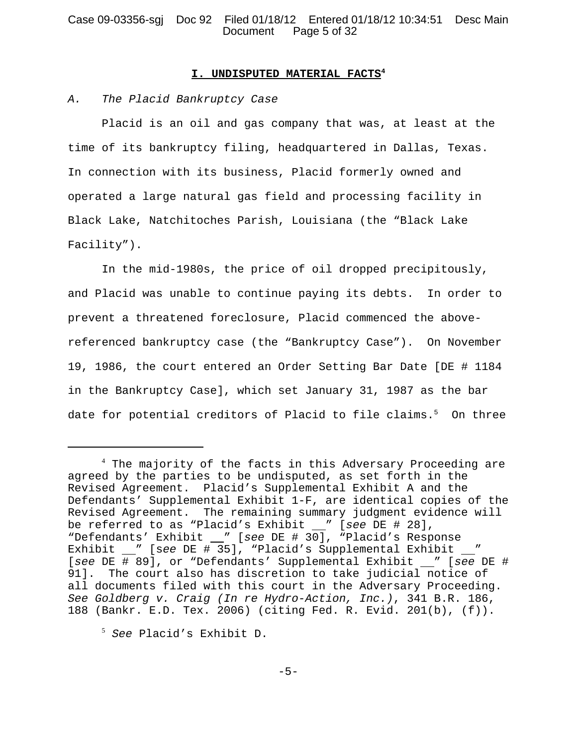# Case 09-03356-sgj Doc 92 Filed 01/18/12 Entered 01/18/12 10:34:51 Desc Main Document Page 5 of 32

#### **I. UNDISPUTED MATERIAL FACTS4**

#### *A. The Placid Bankruptcy Case*

Placid is an oil and gas company that was, at least at the time of its bankruptcy filing, headquartered in Dallas, Texas. In connection with its business, Placid formerly owned and operated a large natural gas field and processing facility in Black Lake, Natchitoches Parish, Louisiana (the "Black Lake Facility").

In the mid-1980s, the price of oil dropped precipitously, and Placid was unable to continue paying its debts. In order to prevent a threatened foreclosure, Placid commenced the abovereferenced bankruptcy case (the "Bankruptcy Case"). On November 19, 1986, the court entered an Order Setting Bar Date [DE # 1184 in the Bankruptcy Case], which set January 31, 1987 as the bar date for potential creditors of Placid to file claims.<sup>5</sup> On three

<sup>&</sup>lt;sup>4</sup> The majority of the facts in this Adversary Proceeding are agreed by the parties to be undisputed, as set forth in the Revised Agreement. Placid's Supplemental Exhibit A and the Defendants' Supplemental Exhibit 1-F, are identical copies of the Revised Agreement. The remaining summary judgment evidence will be referred to as "Placid's Exhibit " [*see* DE # 28], "Defendants' Exhibit \_\_" [see DE # 30], "Placid's Response Exhibit " [see DE # 35], "Placid's Supplemental Exhibit \_" [see DE # 89], or "Defendants' Supplemental Exhibit \_ " [see DE # 91]. The court also has discretion to take judicial notice of all documents filed with this court in the Adversary Proceeding. *See Goldberg v. Craig (In re Hydro-Action, Inc.)*, 341 B.R. 186, 188 (Bankr. E.D. Tex. 2006) (citing Fed. R. Evid. 201(b), (f)).

<sup>5</sup> *See* Placid's Exhibit D.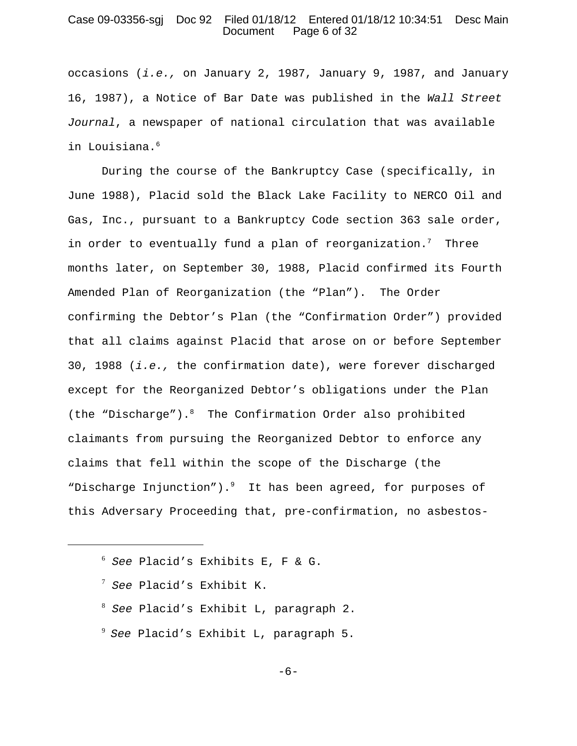### Case 09-03356-sgj Doc 92 Filed 01/18/12 Entered 01/18/12 10:34:51 Desc Main Page 6 of 32

occasions (*i.e.,* on January 2, 1987, January 9, 1987, and January 16, 1987), a Notice of Bar Date was published in the *Wall Street Journal*, a newspaper of national circulation that was available in Louisiana.<sup>6</sup>

During the course of the Bankruptcy Case (specifically, in June 1988), Placid sold the Black Lake Facility to NERCO Oil and Gas, Inc., pursuant to a Bankruptcy Code section 363 sale order, in order to eventually fund a plan of reorganization.<sup>7</sup> Three months later, on September 30, 1988, Placid confirmed its Fourth Amended Plan of Reorganization (the "Plan"). The Order confirming the Debtor's Plan (the "Confirmation Order") provided that all claims against Placid that arose on or before September 30, 1988 (*i.e.,* the confirmation date), were forever discharged except for the Reorganized Debtor's obligations under the Plan (the "Discharge").<sup>8</sup> The Confirmation Order also prohibited claimants from pursuing the Reorganized Debtor to enforce any claims that fell within the scope of the Discharge (the "Discharge Injunction"). $9$  It has been agreed, for purposes of this Adversary Proceeding that, pre-confirmation, no asbestos-

- <sup>7</sup> *See* Placid's Exhibit K.
- <sup>8</sup> *See* Placid's Exhibit L, paragraph 2.
- 9 *See* Placid's Exhibit L, paragraph 5.

-6-

<sup>6</sup> *See* Placid's Exhibits E, F & G.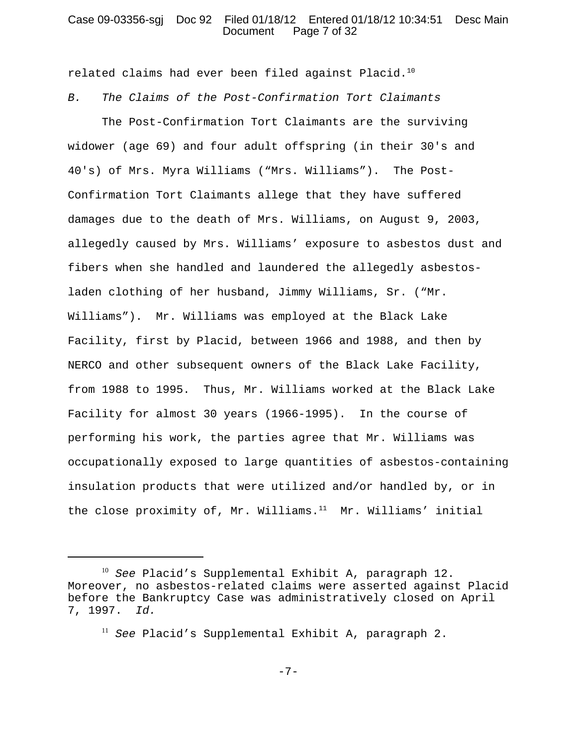## Case 09-03356-sgj Doc 92 Filed 01/18/12 Entered 01/18/12 10:34:51 Desc Main Document Page 7 of 32

related claims had ever been filed against Placid.<sup>10</sup> *B. The Claims of the Post-Confirmation Tort Claimants*

The Post-Confirmation Tort Claimants are the surviving widower (age 69) and four adult offspring (in their 30's and 40's) of Mrs. Myra Williams ("Mrs. Williams"). The Post-Confirmation Tort Claimants allege that they have suffered damages due to the death of Mrs. Williams, on August 9, 2003, allegedly caused by Mrs. Williams' exposure to asbestos dust and fibers when she handled and laundered the allegedly asbestosladen clothing of her husband, Jimmy Williams, Sr. ("Mr. Williams"). Mr. Williams was employed at the Black Lake Facility, first by Placid, between 1966 and 1988, and then by NERCO and other subsequent owners of the Black Lake Facility, from 1988 to 1995. Thus, Mr. Williams worked at the Black Lake Facility for almost 30 years (1966-1995). In the course of performing his work, the parties agree that Mr. Williams was occupationally exposed to large quantities of asbestos-containing insulation products that were utilized and/or handled by, or in the close proximity of, Mr. Williams. $11$  Mr. Williams' initial

<sup>10</sup> *See* Placid's Supplemental Exhibit A, paragraph 12. Moreover, no asbestos-related claims were asserted against Placid before the Bankruptcy Case was administratively closed on April 7, 1997. *Id.*

<sup>11</sup> *See* Placid's Supplemental Exhibit A, paragraph 2.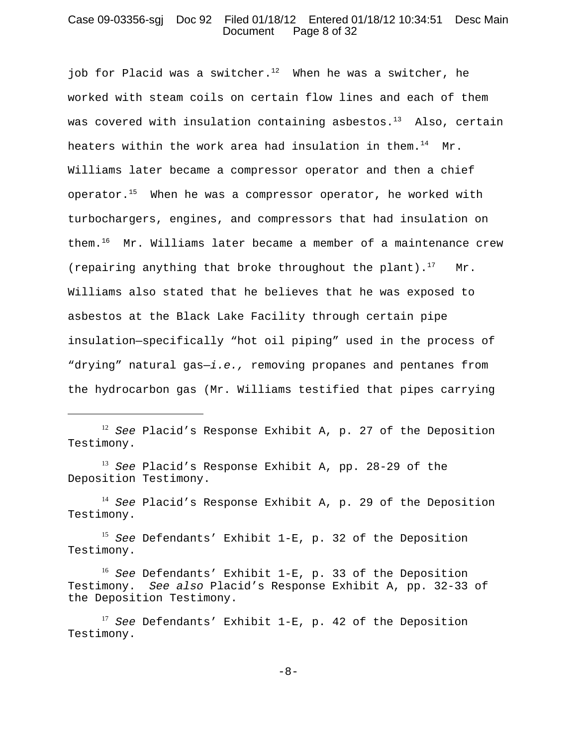#### Case 09-03356-sgj Doc 92 Filed 01/18/12 Entered 01/18/12 10:34:51 Desc Main Document Page 8 of 32

iob for Placid was a switcher.<sup>12</sup> When he was a switcher, he worked with steam coils on certain flow lines and each of them was covered with insulation containing asbestos. $13$  Also, certain heaters within the work area had insulation in them.<sup>14</sup> Mr. Williams later became a compressor operator and then a chief operator.<sup>15</sup> When he was a compressor operator, he worked with turbochargers, engines, and compressors that had insulation on them.16 Mr. Williams later became a member of a maintenance crew (repairing anything that broke throughout the plant).<sup>17</sup> Mr. Williams also stated that he believes that he was exposed to asbestos at the Black Lake Facility through certain pipe insulation—specifically "hot oil piping" used in the process of "drying" natural gas—*i.e.,* removing propanes and pentanes from the hydrocarbon gas (Mr. Williams testified that pipes carrying

<sup>13</sup> *See* Placid's Response Exhibit A, pp. 28-29 of the Deposition Testimony.

<sup>14</sup> *See* Placid's Response Exhibit A, p. 29 of the Deposition Testimony.

<sup>15</sup> *See* Defendants' Exhibit 1-E, p. 32 of the Deposition Testimony.

-8-

<sup>12</sup> *See* Placid's Response Exhibit A, p. 27 of the Deposition Testimony.

<sup>16</sup> *See* Defendants' Exhibit 1-E, p. 33 of the Deposition Testimony. *See also* Placid's Response Exhibit A, pp. 32-33 of the Deposition Testimony.

<sup>17</sup> *See* Defendants' Exhibit 1-E, p. 42 of the Deposition Testimony.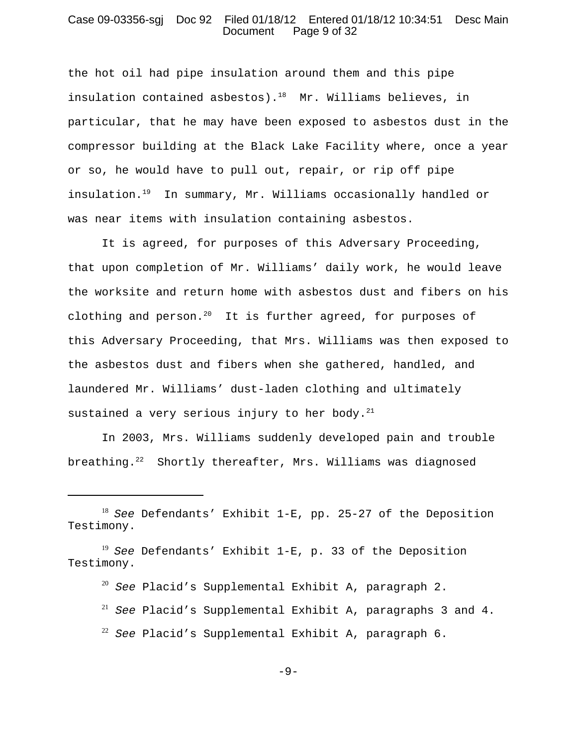#### Case 09-03356-sgj Doc 92 Filed 01/18/12 Entered 01/18/12 10:34:51 Desc Main Document Page 9 of 32

the hot oil had pipe insulation around them and this pipe insulation contained asbestos).<sup>18</sup> Mr. Williams believes, in particular, that he may have been exposed to asbestos dust in the compressor building at the Black Lake Facility where, once a year or so, he would have to pull out, repair, or rip off pipe insulation.19 In summary, Mr. Williams occasionally handled or was near items with insulation containing asbestos.

It is agreed, for purposes of this Adversary Proceeding, that upon completion of Mr. Williams' daily work, he would leave the worksite and return home with asbestos dust and fibers on his clothing and person.<sup>20</sup> It is further agreed, for purposes of this Adversary Proceeding, that Mrs. Williams was then exposed to the asbestos dust and fibers when she gathered, handled, and laundered Mr. Williams' dust-laden clothing and ultimately sustained a very serious injury to her body. $21$ 

In 2003, Mrs. Williams suddenly developed pain and trouble breathing.<sup>22</sup> Shortly thereafter, Mrs. Williams was diagnosed

- <sup>20</sup> *See* Placid's Supplemental Exhibit A, paragraph 2.
- <sup>21</sup> *See* Placid's Supplemental Exhibit A, paragraphs 3 and 4.
- <sup>22</sup> *See* Placid's Supplemental Exhibit A, paragraph 6.

-9-

<sup>18</sup> *See* Defendants' Exhibit 1-E, pp. 25-27 of the Deposition Testimony.

<sup>19</sup> *See* Defendants' Exhibit 1-E, p. 33 of the Deposition Testimony.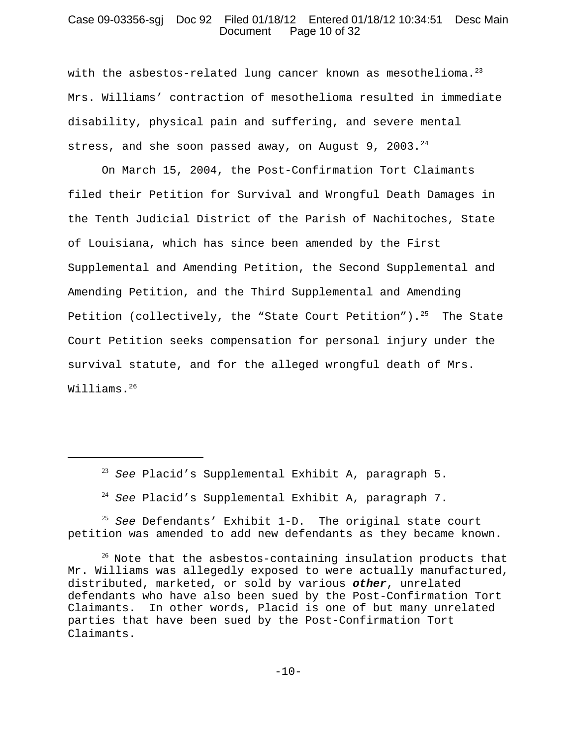# Case 09-03356-sgj Doc 92 Filed 01/18/12 Entered 01/18/12 10:34:51 Desc Main Document Page 10 of 32

with the asbestos-related lung cancer known as mesothelioma. $^{23}$ Mrs. Williams' contraction of mesothelioma resulted in immediate disability, physical pain and suffering, and severe mental stress, and she soon passed away, on August 9, 2003. $^{24}$ 

On March 15, 2004, the Post-Confirmation Tort Claimants filed their Petition for Survival and Wrongful Death Damages in the Tenth Judicial District of the Parish of Nachitoches, State of Louisiana, which has since been amended by the First Supplemental and Amending Petition, the Second Supplemental and Amending Petition, and the Third Supplemental and Amending Petition (collectively, the "State Court Petition").<sup>25</sup> The State Court Petition seeks compensation for personal injury under the survival statute, and for the alleged wrongful death of Mrs. Williams.<sup>26</sup>

<sup>25</sup> *See* Defendants' Exhibit 1-D. The original state court petition was amended to add new defendants as they became known.

<sup>23</sup> *See* Placid's Supplemental Exhibit A, paragraph 5.

<sup>24</sup> *See* Placid's Supplemental Exhibit A, paragraph 7.

 $26$  Note that the asbestos-containing insulation products that Mr. Williams was allegedly exposed to were actually manufactured, distributed, marketed, or sold by various *other*, unrelated defendants who have also been sued by the Post-Confirmation Tort Claimants. In other words, Placid is one of but many unrelated parties that have been sued by the Post-Confirmation Tort Claimants.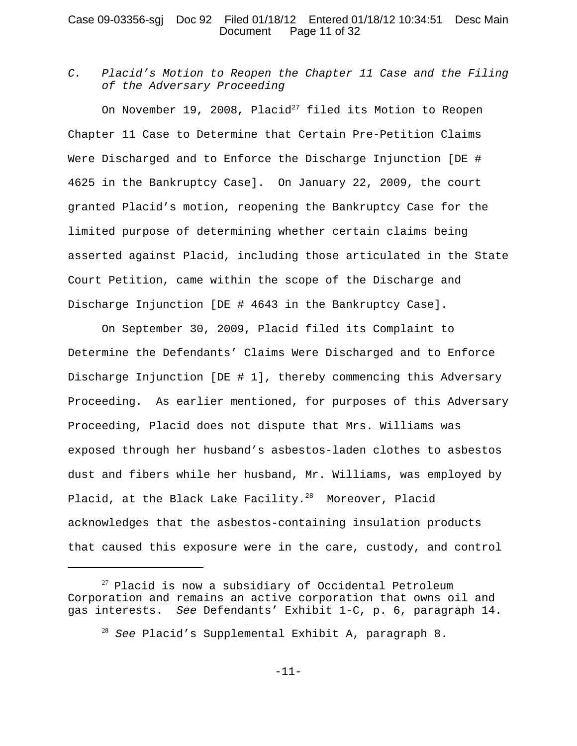### Case 09-03356-sgj Doc 92 Filed 01/18/12 Entered 01/18/12 10:34:51 Desc Main Document Page 11 of 32

*C. Placid's Motion to Reopen the Chapter 11 Case and the Filing of the Adversary Proceeding*

On November 19, 2008, Placid<sup>27</sup> filed its Motion to Reopen Chapter 11 Case to Determine that Certain Pre-Petition Claims Were Discharged and to Enforce the Discharge Injunction [DE # 4625 in the Bankruptcy Case]. On January 22, 2009, the court granted Placid's motion, reopening the Bankruptcy Case for the limited purpose of determining whether certain claims being asserted against Placid, including those articulated in the State Court Petition, came within the scope of the Discharge and Discharge Injunction [DE # 4643 in the Bankruptcy Case].

On September 30, 2009, Placid filed its Complaint to Determine the Defendants' Claims Were Discharged and to Enforce Discharge Injunction [DE # 1], thereby commencing this Adversary Proceeding. As earlier mentioned, for purposes of this Adversary Proceeding, Placid does not dispute that Mrs. Williams was exposed through her husband's asbestos-laden clothes to asbestos dust and fibers while her husband, Mr. Williams, was employed by Placid, at the Black Lake Facility.<sup>28</sup> Moreover, Placid acknowledges that the asbestos-containing insulation products that caused this exposure were in the care, custody, and control

 $27$  Placid is now a subsidiary of Occidental Petroleum Corporation and remains an active corporation that owns oil and gas interests. *See* Defendants' Exhibit 1-C, p. 6, paragraph 14.

<sup>28</sup> *See* Placid's Supplemental Exhibit A, paragraph 8.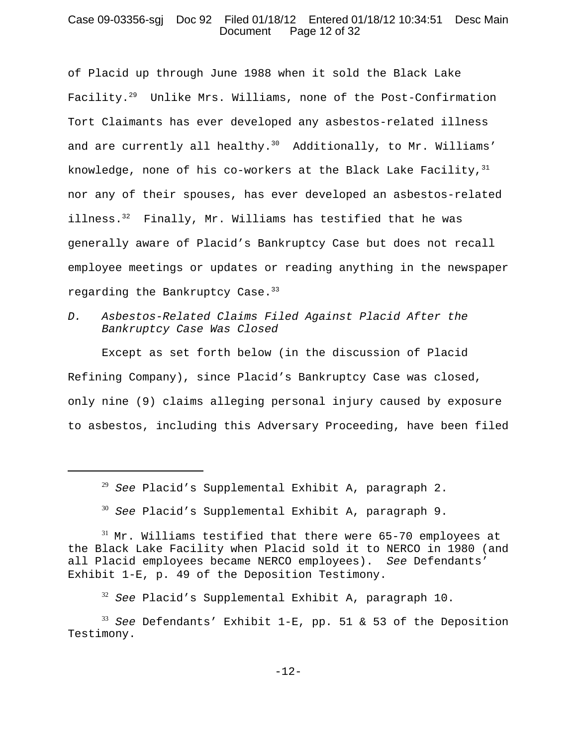### Case 09-03356-sgj Doc 92 Filed 01/18/12 Entered 01/18/12 10:34:51 Desc Main Document Page 12 of 32

of Placid up through June 1988 when it sold the Black Lake Facility.29 Unlike Mrs. Williams, none of the Post-Confirmation Tort Claimants has ever developed any asbestos-related illness and are currently all healthy. $30$  Additionally, to Mr. Williams' knowledge, none of his co-workers at the Black Lake Facility,  $31$ nor any of their spouses, has ever developed an asbestos-related illness. $32$  Finally, Mr. Williams has testified that he was generally aware of Placid's Bankruptcy Case but does not recall employee meetings or updates or reading anything in the newspaper regarding the Bankruptcy Case.<sup>33</sup>

*D. Asbestos-Related Claims Filed Against Placid After the Bankruptcy Case Was Closed*

Except as set forth below (in the discussion of Placid Refining Company), since Placid's Bankruptcy Case was closed, only nine (9) claims alleging personal injury caused by exposure to asbestos, including this Adversary Proceeding, have been filed

<sup>29</sup> *See* Placid's Supplemental Exhibit A, paragraph 2.

<sup>30</sup> *See* Placid's Supplemental Exhibit A, paragraph 9.

 $31$  Mr. Williams testified that there were 65-70 employees at the Black Lake Facility when Placid sold it to NERCO in 1980 (and all Placid employees became NERCO employees). *See* Defendants' Exhibit 1-E, p. 49 of the Deposition Testimony.

<sup>32</sup> *See* Placid's Supplemental Exhibit A, paragraph 10.

<sup>33</sup> *See* Defendants' Exhibit 1-E, pp. 51 & 53 of the Deposition Testimony.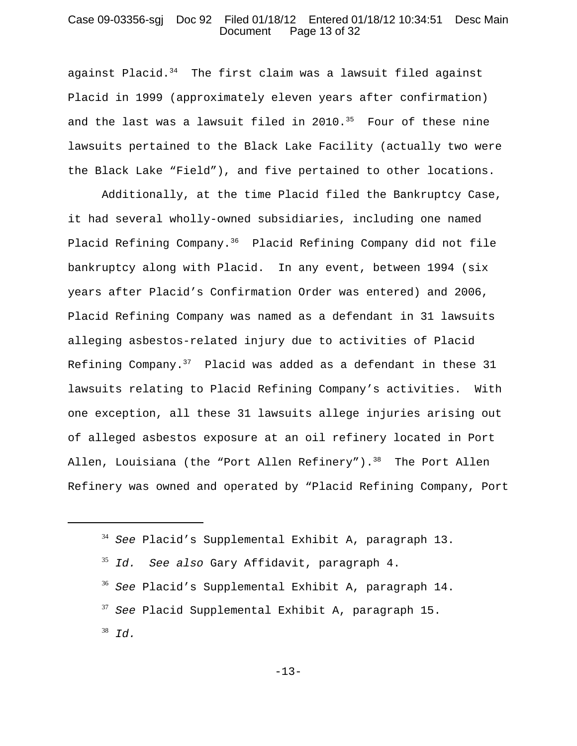## Case 09-03356-sgj Doc 92 Filed 01/18/12 Entered 01/18/12 10:34:51 Desc Main Document Page 13 of 32

against Placid. $34$  The first claim was a lawsuit filed against Placid in 1999 (approximately eleven years after confirmation) and the last was a lawsuit filed in  $2010.^{35}$  Four of these nine lawsuits pertained to the Black Lake Facility (actually two were the Black Lake "Field"), and five pertained to other locations.

Additionally, at the time Placid filed the Bankruptcy Case, it had several wholly-owned subsidiaries, including one named Placid Refining Company.36 Placid Refining Company did not file bankruptcy along with Placid. In any event, between 1994 (six years after Placid's Confirmation Order was entered) and 2006, Placid Refining Company was named as a defendant in 31 lawsuits alleging asbestos-related injury due to activities of Placid Refining Company. $37$  Placid was added as a defendant in these 31 lawsuits relating to Placid Refining Company's activities. With one exception, all these 31 lawsuits allege injuries arising out of alleged asbestos exposure at an oil refinery located in Port Allen, Louisiana (the "Port Allen Refinery"). $38$  The Port Allen Refinery was owned and operated by "Placid Refining Company, Port

<sup>34</sup> *See* Placid's Supplemental Exhibit A, paragraph 13.

<sup>35</sup> *Id. See also* Gary Affidavit, paragraph 4.

<sup>36</sup> *See* Placid's Supplemental Exhibit A, paragraph 14.

<sup>37</sup> *See* Placid Supplemental Exhibit A, paragraph 15.

<sup>38</sup> *Id.*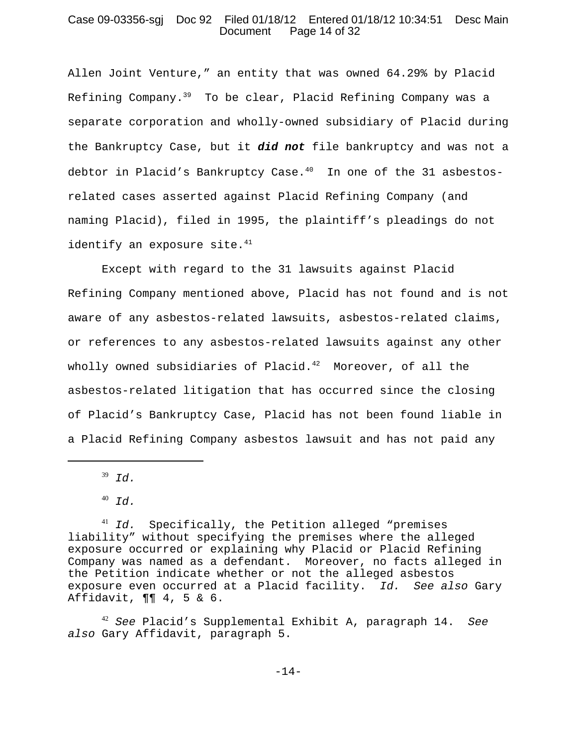## Case 09-03356-sgj Doc 92 Filed 01/18/12 Entered 01/18/12 10:34:51 Desc Main Document Page 14 of 32

Allen Joint Venture," an entity that was owned 64.29% by Placid Refining Company.<sup>39</sup> To be clear, Placid Refining Company was a separate corporation and wholly-owned subsidiary of Placid during the Bankruptcy Case, but it *did not* file bankruptcy and was not a debtor in Placid's Bankruptcy Case.<sup>40</sup> In one of the 31 asbestosrelated cases asserted against Placid Refining Company (and naming Placid), filed in 1995, the plaintiff's pleadings do not identify an exposure site. $41$ 

Except with regard to the 31 lawsuits against Placid Refining Company mentioned above, Placid has not found and is not aware of any asbestos-related lawsuits, asbestos-related claims, or references to any asbestos-related lawsuits against any other wholly owned subsidiaries of Placid. $42$  Moreover, of all the asbestos-related litigation that has occurred since the closing of Placid's Bankruptcy Case, Placid has not been found liable in a Placid Refining Company asbestos lawsuit and has not paid any

<sup>39</sup> *Id.*

<sup>42</sup> *See* Placid's Supplemental Exhibit A, paragraph 14. *See also* Gary Affidavit, paragraph 5.

<sup>40</sup> *Id.*

<sup>41</sup> *Id.* Specifically, the Petition alleged "premises liability" without specifying the premises where the alleged exposure occurred or explaining why Placid or Placid Refining Company was named as a defendant. Moreover, no facts alleged in the Petition indicate whether or not the alleged asbestos exposure even occurred at a Placid facility. *Id. See also* Gary Affidavit, ¶¶ 4, 5 & 6.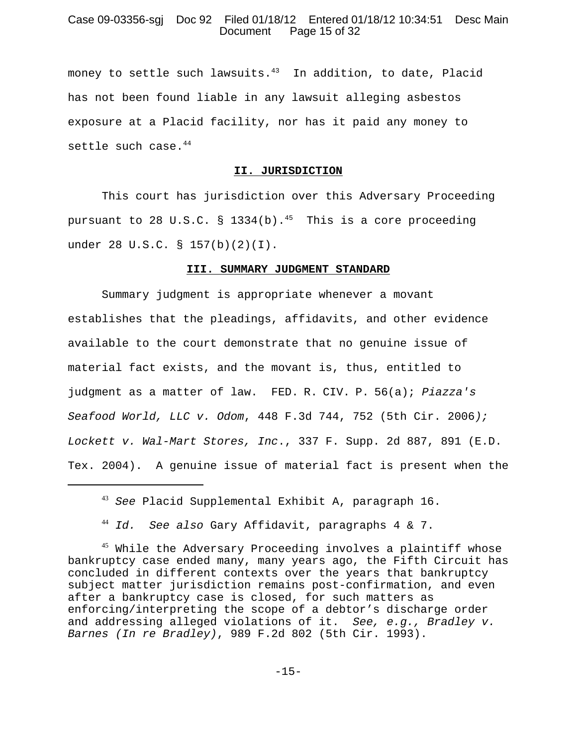# Case 09-03356-sgj Doc 92 Filed 01/18/12 Entered 01/18/12 10:34:51 Desc Main Document Page 15 of 32

money to settle such lawsuits.<sup>43</sup> In addition, to date, Placid has not been found liable in any lawsuit alleging asbestos exposure at a Placid facility, nor has it paid any money to settle such case.<sup>44</sup>

#### **II. JURISDICTION**

This court has jurisdiction over this Adversary Proceeding pursuant to 28 U.S.C. § 1334(b).<sup>45</sup> This is a core proceeding under 28 U.S.C. § 157(b)(2)(I).

#### **III. SUMMARY JUDGMENT STANDARD**

Summary judgment is appropriate whenever a movant establishes that the pleadings, affidavits, and other evidence available to the court demonstrate that no genuine issue of material fact exists, and the movant is, thus, entitled to judgment as a matter of law. FED. R. CIV. P. 56(a); *Piazza's Seafood World, LLC v. Odom*, 448 F.3d 744, 752 (5th Cir. 2006*); Lockett v. Wal-Mart Stores, Inc*., 337 F. Supp. 2d 887, 891 (E.D. Tex. 2004). A genuine issue of material fact is present when the

<sup>43</sup> *See* Placid Supplemental Exhibit A, paragraph 16.

<sup>44</sup> *Id. See also* Gary Affidavit, paragraphs 4 & 7.

<sup>&</sup>lt;sup>45</sup> While the Adversary Proceeding involves a plaintiff whose bankruptcy case ended many, many years ago, the Fifth Circuit has concluded in different contexts over the years that bankruptcy subject matter jurisdiction remains post-confirmation, and even after a bankruptcy case is closed, for such matters as enforcing/interpreting the scope of a debtor's discharge order and addressing alleged violations of it. *See, e.g., Bradley v. Barnes (In re Bradley)*, 989 F.2d 802 (5th Cir. 1993).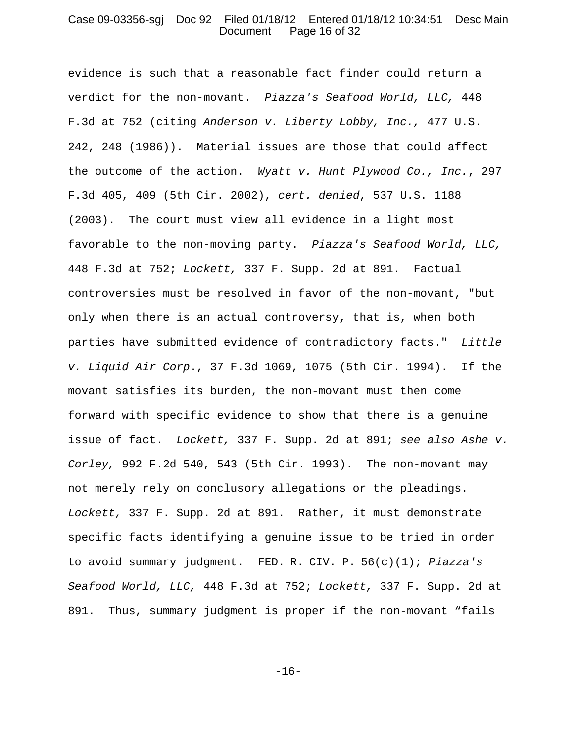#### Case 09-03356-sgj Doc 92 Filed 01/18/12 Entered 01/18/12 10:34:51 Desc Main Document Page 16 of 32

evidence is such that a reasonable fact finder could return a verdict for the non-movant. *Piazza's Seafood World, LLC,* 448 F.3d at 752 (citing *Anderson v. Liberty Lobby, Inc.,* 477 U.S. 242, 248 (1986)). Material issues are those that could affect the outcome of the action. *Wyatt v. Hunt Plywood Co., Inc.*, 297 F.3d 405, 409 (5th Cir. 2002), *cert. denied*, 537 U.S. 1188 (2003). The court must view all evidence in a light most favorable to the non-moving party. *Piazza's Seafood World, LLC,* 448 F.3d at 752; *Lockett,* 337 F. Supp. 2d at 891. Factual controversies must be resolved in favor of the non-movant, "but only when there is an actual controversy, that is, when both parties have submitted evidence of contradictory facts." *Little v. Liquid Air Corp*., 37 F.3d 1069, 1075 (5th Cir. 1994). If the movant satisfies its burden, the non-movant must then come forward with specific evidence to show that there is a genuine issue of fact. *Lockett,* 337 F. Supp. 2d at 891; *see also Ashe v. Corley,* 992 F.2d 540, 543 (5th Cir. 1993). The non-movant may not merely rely on conclusory allegations or the pleadings. *Lockett,* 337 F. Supp. 2d at 891. Rather, it must demonstrate specific facts identifying a genuine issue to be tried in order to avoid summary judgment. FED. R. CIV. P. 56(c)(1); *Piazza's Seafood World, LLC,* 448 F.3d at 752; *Lockett,* 337 F. Supp. 2d at 891. Thus, summary judgment is proper if the non-movant "fails

-16-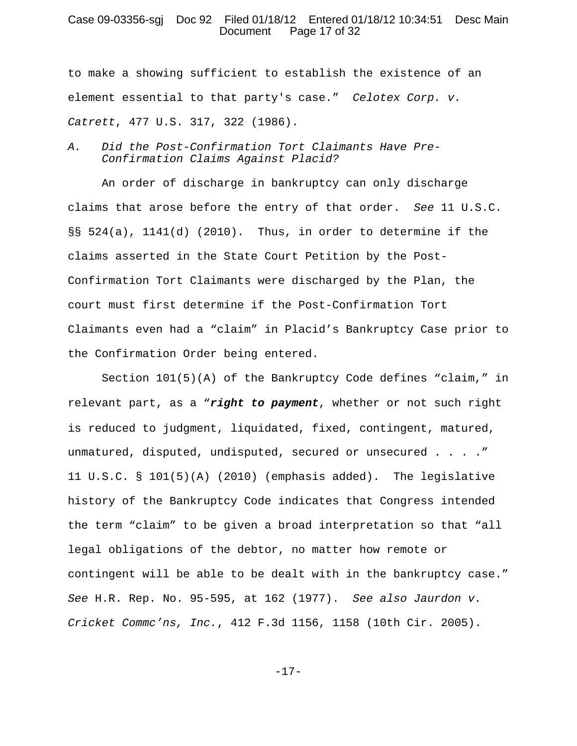### Case 09-03356-sgj Doc 92 Filed 01/18/12 Entered 01/18/12 10:34:51 Desc Main Document Page 17 of 32

to make a showing sufficient to establish the existence of an element essential to that party's case." *Celotex Corp. v. Catrett*, 477 U.S. 317, 322 (1986).

# *A. Did the Post-Confirmation Tort Claimants Have Pre-Confirmation Claims Against Placid?*

An order of discharge in bankruptcy can only discharge claims that arose before the entry of that order. *See* 11 U.S.C. §§ 524(a), 1141(d) (2010). Thus, in order to determine if the claims asserted in the State Court Petition by the Post-Confirmation Tort Claimants were discharged by the Plan, the court must first determine if the Post-Confirmation Tort Claimants even had a "claim" in Placid's Bankruptcy Case prior to the Confirmation Order being entered.

Section  $101(5)(A)$  of the Bankruptcy Code defines "claim," in relevant part, as a "*right to payment*, whether or not such right is reduced to judgment, liquidated, fixed, contingent, matured, unmatured, disputed, undisputed, secured or unsecured . . . ." 11 U.S.C. § 101(5)(A) (2010) (emphasis added). The legislative history of the Bankruptcy Code indicates that Congress intended the term "claim" to be given a broad interpretation so that "all legal obligations of the debtor, no matter how remote or contingent will be able to be dealt with in the bankruptcy case." *See* H.R. Rep. No. 95-595, at 162 (1977). *See also Jaurdon v. Cricket Commc'ns, Inc.*, 412 F.3d 1156, 1158 (10th Cir. 2005).

-17-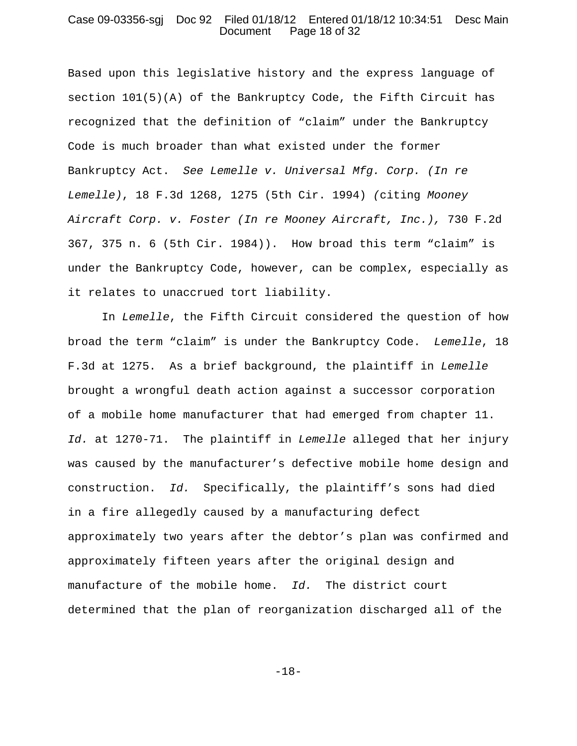#### Case 09-03356-sgj Doc 92 Filed 01/18/12 Entered 01/18/12 10:34:51 Desc Main Document Page 18 of 32

Based upon this legislative history and the express language of section  $101(5)(A)$  of the Bankruptcy Code, the Fifth Circuit has recognized that the definition of "claim" under the Bankruptcy Code is much broader than what existed under the former Bankruptcy Act. *See Lemelle v. Universal Mfg. Corp. (In re Lemelle)*, 18 F.3d 1268, 1275 (5th Cir. 1994) *(*citing *Mooney Aircraft Corp. v. Foster (In re Mooney Aircraft, Inc.),* 730 F.2d 367, 375 n. 6 (5th Cir. 1984)). How broad this term "claim" is under the Bankruptcy Code, however, can be complex, especially as it relates to unaccrued tort liability.

In *Lemelle*, the Fifth Circuit considered the question of how broad the term "claim" is under the Bankruptcy Code. *Lemelle*, 18 F.3d at 1275. As a brief background, the plaintiff in *Lemelle* brought a wrongful death action against a successor corporation of a mobile home manufacturer that had emerged from chapter 11. *Id.* at 1270-71. The plaintiff in *Lemelle* alleged that her injury was caused by the manufacturer's defective mobile home design and construction. *Id.* Specifically, the plaintiff's sons had died in a fire allegedly caused by a manufacturing defect approximately two years after the debtor's plan was confirmed and approximately fifteen years after the original design and manufacture of the mobile home. *Id.* The district court determined that the plan of reorganization discharged all of the

-18-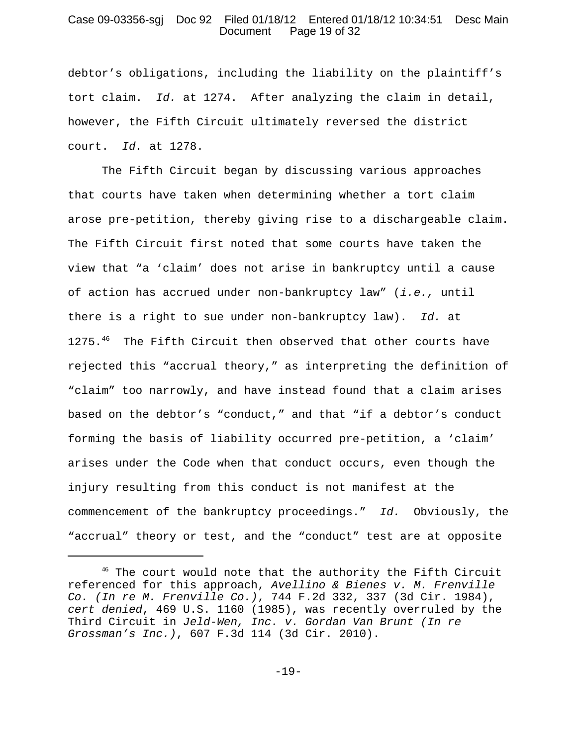# Case 09-03356-sgj Doc 92 Filed 01/18/12 Entered 01/18/12 10:34:51 Desc Main Document Page 19 of 32

debtor's obligations, including the liability on the plaintiff's tort claim. *Id.* at 1274. After analyzing the claim in detail, however, the Fifth Circuit ultimately reversed the district court. *Id.* at 1278.

The Fifth Circuit began by discussing various approaches that courts have taken when determining whether a tort claim arose pre-petition, thereby giving rise to a dischargeable claim. The Fifth Circuit first noted that some courts have taken the view that "a 'claim' does not arise in bankruptcy until a cause of action has accrued under non-bankruptcy law" (*i.e.,* until there is a right to sue under non-bankruptcy law). *Id.* at 1275.46The Fifth Circuit then observed that other courts have rejected this "accrual theory," as interpreting the definition of "claim" too narrowly, and have instead found that a claim arises based on the debtor's "conduct," and that "if a debtor's conduct forming the basis of liability occurred pre-petition, a 'claim' arises under the Code when that conduct occurs, even though the injury resulting from this conduct is not manifest at the commencement of the bankruptcy proceedings." *Id.* Obviously, the "accrual" theory or test, and the "conduct" test are at opposite

<sup>&</sup>lt;sup>46</sup> The court would note that the authority the Fifth Circuit referenced for this approach, *Avellino & Bienes v. M. Frenville Co. (In re M. Frenville Co.)*, 744 F.2d 332, 337 (3d Cir. 1984), *cert denied*, 469 U.S. 1160 (1985), was recently overruled by the Third Circuit in *Jeld-Wen, Inc. v. Gordan Van Brunt (In re Grossman's Inc.)*, 607 F.3d 114 (3d Cir. 2010).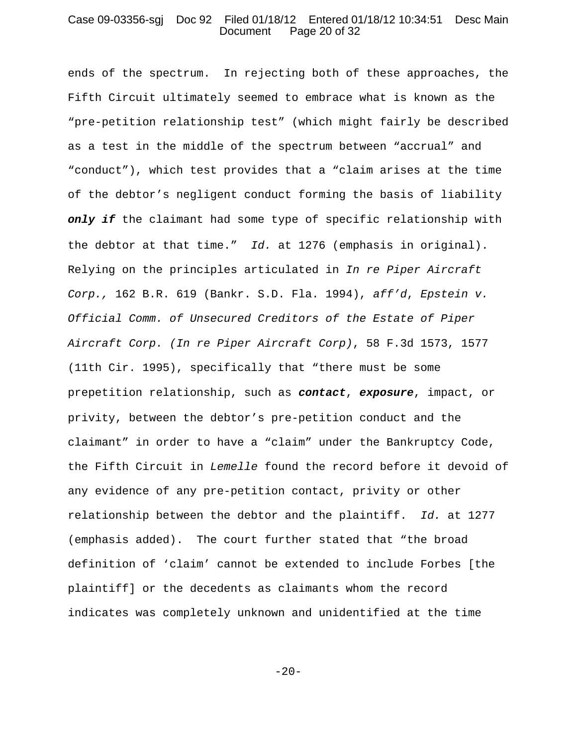#### Case 09-03356-sgj Doc 92 Filed 01/18/12 Entered 01/18/12 10:34:51 Desc Main Document Page 20 of 32

ends of the spectrum. In rejecting both of these approaches, the Fifth Circuit ultimately seemed to embrace what is known as the "pre-petition relationship test" (which might fairly be described as a test in the middle of the spectrum between "accrual" and "conduct"), which test provides that a "claim arises at the time of the debtor's negligent conduct forming the basis of liability *only if* the claimant had some type of specific relationship with the debtor at that time." *Id.* at 1276 (emphasis in original). Relying on the principles articulated in *In re Piper Aircraft Corp.,* 162 B.R. 619 (Bankr. S.D. Fla. 1994), *aff'd*, *Epstein v. Official Comm. of Unsecured Creditors of the Estate of Piper Aircraft Corp. (In re Piper Aircraft Corp)*, 58 F.3d 1573, 1577 (11th Cir. 1995), specifically that "there must be some prepetition relationship, such as *contact*, *exposure*, impact, or privity, between the debtor's pre-petition conduct and the claimant" in order to have a "claim" under the Bankruptcy Code, the Fifth Circuit in *Lemelle* found the record before it devoid of any evidence of any pre-petition contact, privity or other relationship between the debtor and the plaintiff. *Id.* at 1277 (emphasis added). The court further stated that "the broad definition of 'claim' cannot be extended to include Forbes [the plaintiff] or the decedents as claimants whom the record indicates was completely unknown and unidentified at the time

 $-20-$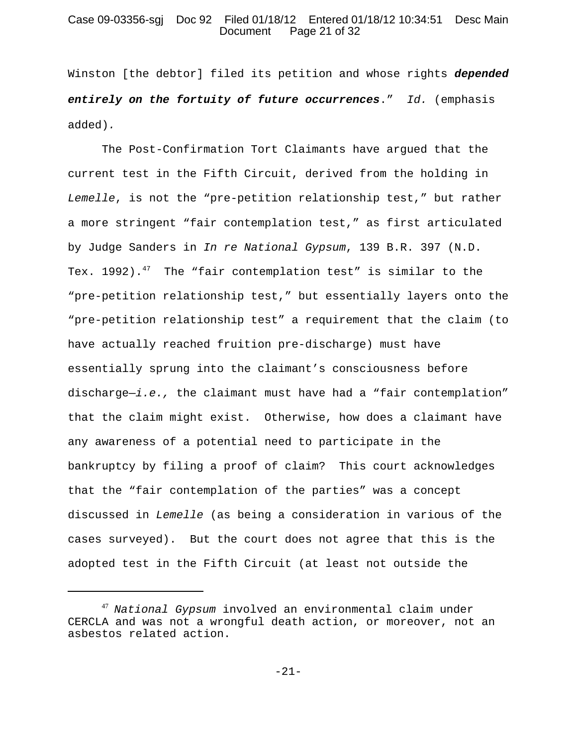### Case 09-03356-sgj Doc 92 Filed 01/18/12 Entered 01/18/12 10:34:51 Desc Main Document Page 21 of 32

Winston [the debtor] filed its petition and whose rights *depended entirely on the fortuity of future occurrences*." *Id.* (emphasis added)*.*

The Post-Confirmation Tort Claimants have argued that the current test in the Fifth Circuit, derived from the holding in *Lemelle*, is not the "pre-petition relationship test," but rather a more stringent "fair contemplation test," as first articulated by Judge Sanders in *In re National Gypsum*, 139 B.R. 397 (N.D. Tex. 1992).<sup>47</sup> The "fair contemplation test" is similar to the "pre-petition relationship test," but essentially layers onto the "pre-petition relationship test" a requirement that the claim (to have actually reached fruition pre-discharge) must have essentially sprung into the claimant's consciousness before discharge—*i.e.,* the claimant must have had a "fair contemplation" that the claim might exist. Otherwise, how does a claimant have any awareness of a potential need to participate in the bankruptcy by filing a proof of claim? This court acknowledges that the "fair contemplation of the parties" was a concept discussed in *Lemelle* (as being a consideration in various of the cases surveyed). But the court does not agree that this is the adopted test in the Fifth Circuit (at least not outside the

<sup>47</sup> *National Gypsum* involved an environmental claim under CERCLA and was not a wrongful death action, or moreover, not an asbestos related action.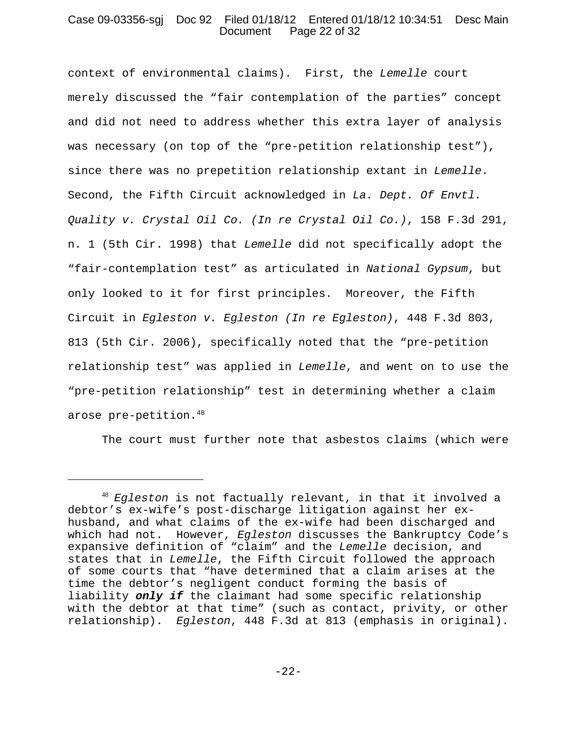# Case 09-03356-sgj Doc 92 Filed 01/18/12 Entered 01/18/12 10:34:51 Desc Main Document Page 22 of 32

context of environmental claims). First, the *Lemelle* court merely discussed the "fair contemplation of the parties" concept and did not need to address whether this extra layer of analysis was necessary (on top of the "pre-petition relationship test"), since there was no prepetition relationship extant in *Lemelle*. Second, the Fifth Circuit acknowledged in *La. Dept. Of Envtl. Quality v. Crystal Oil Co. (In re Crystal Oil Co.)*, 158 F.3d 291, n. 1 (5th Cir. 1998) that *Lemelle* did not specifically adopt the "fair-contemplation test" as articulated in *National Gypsum*, but only looked to it for first principles. Moreover, the Fifth Circuit in *Egleston v. Egleston (In re Egleston)*, 448 F.3d 803, 813 (5th Cir. 2006), specifically noted that the "pre-petition relationship test" was applied in *Lemelle*, and went on to use the "pre-petition relationship" test in determining whether a claim arose pre-petition.<sup>48</sup>

The court must further note that asbestos claims (which were

<sup>48</sup> *Egleston* is not factually relevant, in that it involved a debtor's ex-wife's post-discharge litigation against her exhusband, and what claims of the ex-wife had been discharged and which had not. However, *Egleston* discusses the Bankruptcy Code's expansive definition of "claim" and the *Lemelle* decision, and states that in *Lemelle*, the Fifth Circuit followed the approach of some courts that "have determined that a claim arises at the time the debtor's negligent conduct forming the basis of liability *only if* the claimant had some specific relationship with the debtor at that time" (such as contact, privity, or other relationship). *Egleston*, 448 F.3d at 813 (emphasis in original).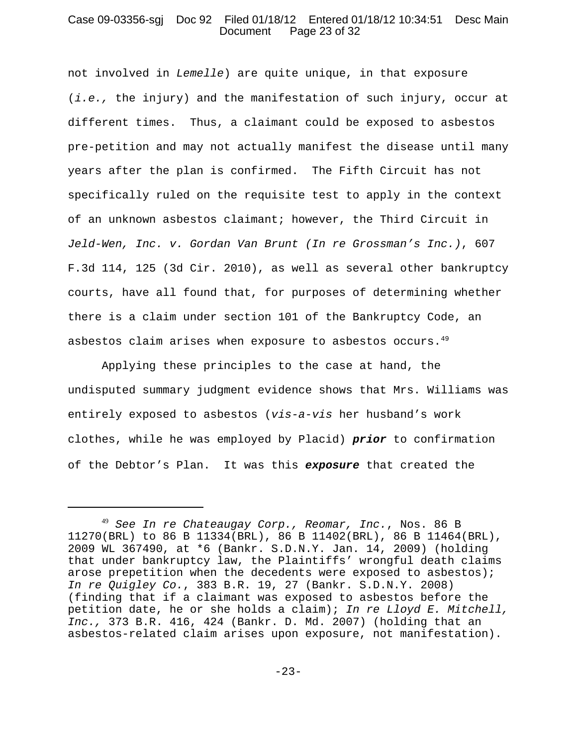# Case 09-03356-sgj Doc 92 Filed 01/18/12 Entered 01/18/12 10:34:51 Desc Main Document Page 23 of 32

not involved in *Lemelle*) are quite unique, in that exposure (*i.e.,* the injury) and the manifestation of such injury, occur at different times. Thus, a claimant could be exposed to asbestos pre-petition and may not actually manifest the disease until many years after the plan is confirmed. The Fifth Circuit has not specifically ruled on the requisite test to apply in the context of an unknown asbestos claimant; however, the Third Circuit in *Jeld-Wen, Inc. v. Gordan Van Brunt (In re Grossman's Inc.)*, 607 F.3d 114, 125 (3d Cir. 2010), as well as several other bankruptcy courts, have all found that, for purposes of determining whether there is a claim under section 101 of the Bankruptcy Code, an asbestos claim arises when exposure to asbestos occurs.<sup>49</sup>

Applying these principles to the case at hand, the undisputed summary judgment evidence shows that Mrs. Williams was entirely exposed to asbestos (*vis-a-vis* her husband's work clothes, while he was employed by Placid) *prior* to confirmation of the Debtor's Plan. It was this *exposure* that created the

<sup>49</sup> *See In re Chateaugay Corp., Reomar, Inc.*, Nos. 86 B 11270(BRL) to 86 B 11334(BRL), 86 B 11402(BRL), 86 B 11464(BRL), 2009 WL 367490, at \*6 (Bankr. S.D.N.Y. Jan. 14, 2009) (holding that under bankruptcy law, the Plaintiffs' wrongful death claims arose prepetition when the decedents were exposed to asbestos); *In re Quigley Co.*, 383 B.R. 19, 27 (Bankr. S.D.N.Y. 2008) (finding that if a claimant was exposed to asbestos before the petition date, he or she holds a claim); *In re Lloyd E. Mitchell, Inc.,* 373 B.R. 416, 424 (Bankr. D. Md. 2007) (holding that an asbestos-related claim arises upon exposure, not manifestation).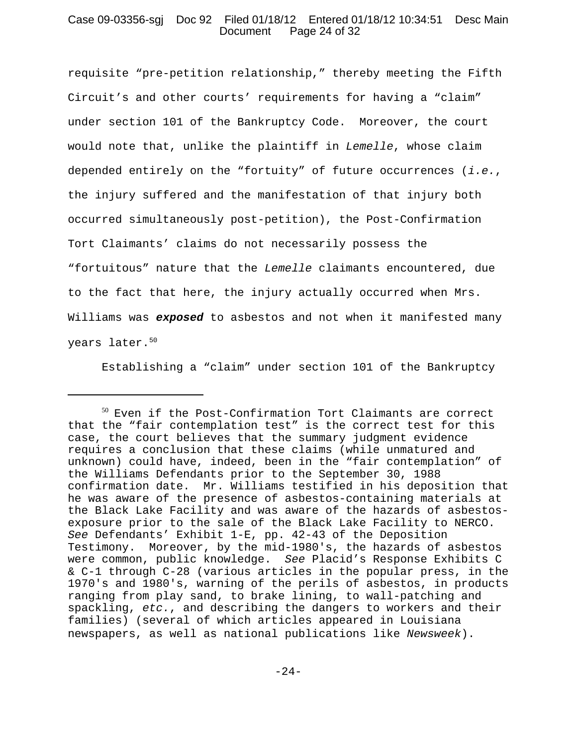# Case 09-03356-sgj Doc 92 Filed 01/18/12 Entered 01/18/12 10:34:51 Desc Main Document Page 24 of 32

requisite "pre-petition relationship," thereby meeting the Fifth Circuit's and other courts' requirements for having a "claim" under section 101 of the Bankruptcy Code. Moreover, the court would note that, unlike the plaintiff in *Lemelle*, whose claim depended entirely on the "fortuity" of future occurrences (*i.e.*, the injury suffered and the manifestation of that injury both occurred simultaneously post-petition), the Post-Confirmation Tort Claimants' claims do not necessarily possess the "fortuitous" nature that the *Lemelle* claimants encountered, due to the fact that here, the injury actually occurred when Mrs. Williams was *exposed* to asbestos and not when it manifested many years later.<sup>50</sup>

Establishing a "claim" under section 101 of the Bankruptcy

<sup>50</sup> Even if the Post-Confirmation Tort Claimants are correct that the "fair contemplation test" is the correct test for this case, the court believes that the summary judgment evidence requires a conclusion that these claims (while unmatured and unknown) could have, indeed, been in the "fair contemplation" of the Williams Defendants prior to the September 30, 1988 confirmation date. Mr. Williams testified in his deposition that he was aware of the presence of asbestos-containing materials at the Black Lake Facility and was aware of the hazards of asbestosexposure prior to the sale of the Black Lake Facility to NERCO. *See* Defendants' Exhibit 1-E, pp. 42-43 of the Deposition Testimony. Moreover, by the mid-1980's, the hazards of asbestos were common, public knowledge. *See* Placid's Response Exhibits C & C-1 through C-28 (various articles in the popular press, in the 1970's and 1980's, warning of the perils of asbestos, in products ranging from play sand, to brake lining, to wall-patching and spackling, *etc.*, and describing the dangers to workers and their families) (several of which articles appeared in Louisiana newspapers, as well as national publications like *Newsweek*).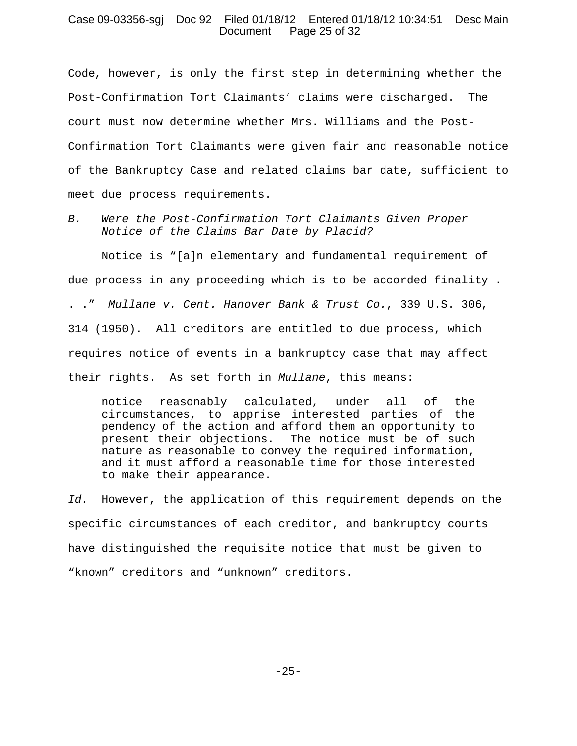# Case 09-03356-sgj Doc 92 Filed 01/18/12 Entered 01/18/12 10:34:51 Desc Main Document Page 25 of 32

Code, however, is only the first step in determining whether the Post-Confirmation Tort Claimants' claims were discharged. The court must now determine whether Mrs. Williams and the Post-Confirmation Tort Claimants were given fair and reasonable notice of the Bankruptcy Case and related claims bar date, sufficient to meet due process requirements.

*B. Were the Post-Confirmation Tort Claimants Given Proper Notice of the Claims Bar Date by Placid?*

Notice is "[a]n elementary and fundamental requirement of due process in any proceeding which is to be accorded finality . . ." *Mullane v. Cent. Hanover Bank & Trust Co.*, 339 U.S. 306, 314 (1950). All creditors are entitled to due process, which requires notice of events in a bankruptcy case that may affect their rights. As set forth in *Mullane*, this means:

notice reasonably calculated, under all of the circumstances, to apprise interested parties of the pendency of the action and afford them an opportunity to present their objections. The notice must be of such nature as reasonable to convey the required information, and it must afford a reasonable time for those interested to make their appearance.

*Id.* However, the application of this requirement depends on the specific circumstances of each creditor, and bankruptcy courts have distinguished the requisite notice that must be given to "known" creditors and "unknown" creditors.

 $-25-$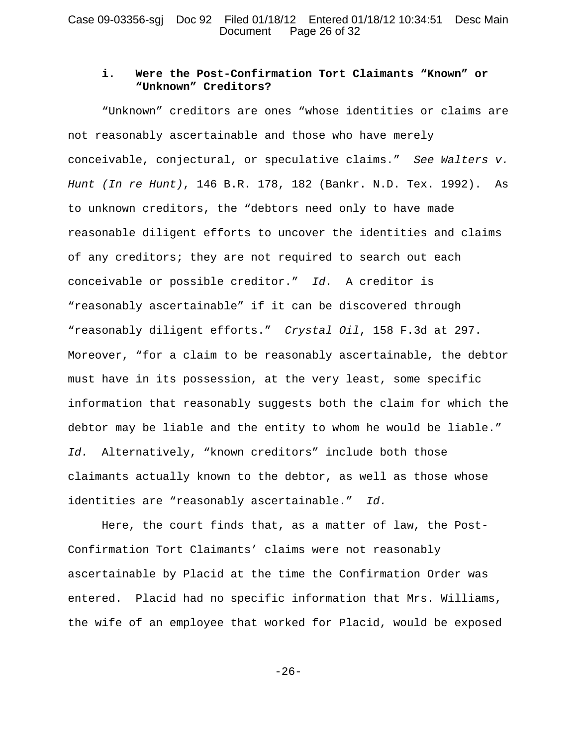## Case 09-03356-sgj Doc 92 Filed 01/18/12 Entered 01/18/12 10:34:51 Desc Main Document Page 26 of 32

# **i. Were the Post-Confirmation Tort Claimants "Known" or "Unknown" Creditors?**

"Unknown" creditors are ones "whose identities or claims are not reasonably ascertainable and those who have merely conceivable, conjectural, or speculative claims." *See Walters v. Hunt (In re Hunt)*, 146 B.R. 178, 182 (Bankr. N.D. Tex. 1992). As to unknown creditors, the "debtors need only to have made reasonable diligent efforts to uncover the identities and claims of any creditors; they are not required to search out each conceivable or possible creditor." *Id.* A creditor is "reasonably ascertainable" if it can be discovered through "reasonably diligent efforts." *Crystal Oil*, 158 F.3d at 297. Moreover, "for a claim to be reasonably ascertainable, the debtor must have in its possession, at the very least, some specific information that reasonably suggests both the claim for which the debtor may be liable and the entity to whom he would be liable." *Id.* Alternatively, "known creditors" include both those claimants actually known to the debtor, as well as those whose identities are "reasonably ascertainable." *Id.*

Here, the court finds that, as a matter of law, the Post-Confirmation Tort Claimants' claims were not reasonably ascertainable by Placid at the time the Confirmation Order was entered. Placid had no specific information that Mrs. Williams, the wife of an employee that worked for Placid, would be exposed

-26-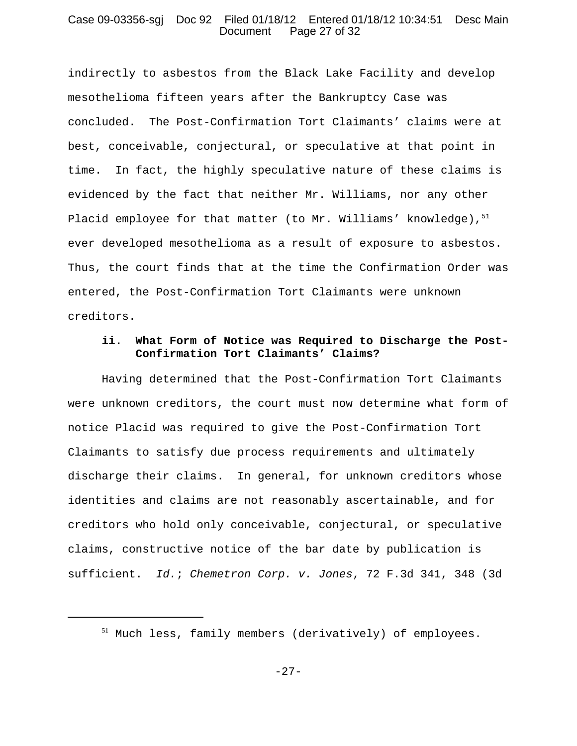### Case 09-03356-sgj Doc 92 Filed 01/18/12 Entered 01/18/12 10:34:51 Desc Main Document Page 27 of 32

indirectly to asbestos from the Black Lake Facility and develop mesothelioma fifteen years after the Bankruptcy Case was concluded. The Post-Confirmation Tort Claimants' claims were at best, conceivable, conjectural, or speculative at that point in time. In fact, the highly speculative nature of these claims is evidenced by the fact that neither Mr. Williams, nor any other Placid employee for that matter (to Mr. Williams' knowledge), $51$ ever developed mesothelioma as a result of exposure to asbestos. Thus, the court finds that at the time the Confirmation Order was entered, the Post-Confirmation Tort Claimants were unknown creditors.

# **ii. What Form of Notice was Required to Discharge the Post-Confirmation Tort Claimants' Claims?**

Having determined that the Post-Confirmation Tort Claimants were unknown creditors, the court must now determine what form of notice Placid was required to give the Post-Confirmation Tort Claimants to satisfy due process requirements and ultimately discharge their claims. In general, for unknown creditors whose identities and claims are not reasonably ascertainable, and for creditors who hold only conceivable, conjectural, or speculative claims, constructive notice of the bar date by publication is sufficient. *Id.*; *Chemetron Corp. v. Jones*, 72 F.3d 341, 348 (3d

<sup>51</sup> Much less, family members (derivatively) of employees.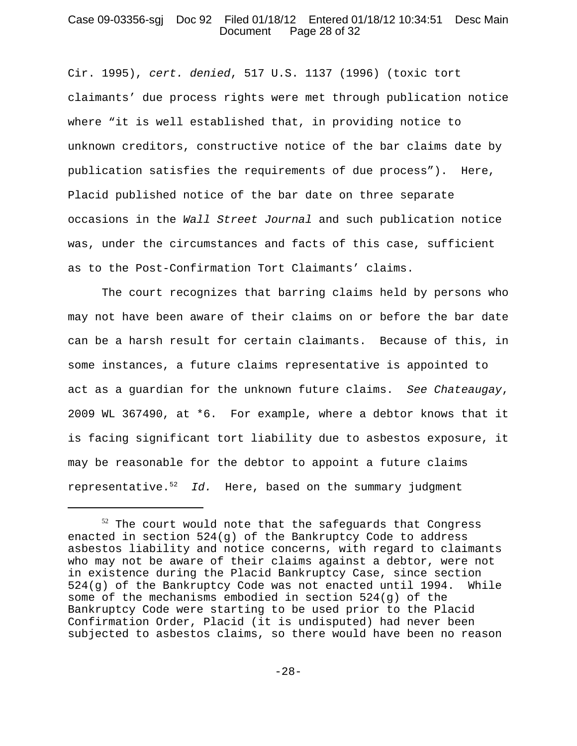# Case 09-03356-sgj Doc 92 Filed 01/18/12 Entered 01/18/12 10:34:51 Desc Main Document Page 28 of 32

Cir. 1995), *cert. denied*, 517 U.S. 1137 (1996) (toxic tort claimants' due process rights were met through publication notice where "it is well established that, in providing notice to unknown creditors, constructive notice of the bar claims date by publication satisfies the requirements of due process"). Here, Placid published notice of the bar date on three separate occasions in the *Wall Street Journal* and such publication notice was, under the circumstances and facts of this case, sufficient as to the Post-Confirmation Tort Claimants' claims.

The court recognizes that barring claims held by persons who may not have been aware of their claims on or before the bar date can be a harsh result for certain claimants. Because of this, in some instances, a future claims representative is appointed to act as a guardian for the unknown future claims. *See Chateaugay*, 2009 WL 367490, at \*6. For example, where a debtor knows that it is facing significant tort liability due to asbestos exposure, it may be reasonable for the debtor to appoint a future claims representative.52 *Id.* Here, based on the summary judgment

 $52$  The court would note that the safeguards that Congress enacted in section 524(g) of the Bankruptcy Code to address asbestos liability and notice concerns, with regard to claimants who may not be aware of their claims against a debtor, were not in existence during the Placid Bankruptcy Case, since section 524(g) of the Bankruptcy Code was not enacted until 1994. While some of the mechanisms embodied in section  $524(q)$  of the Bankruptcy Code were starting to be used prior to the Placid Confirmation Order, Placid (it is undisputed) had never been subjected to asbestos claims, so there would have been no reason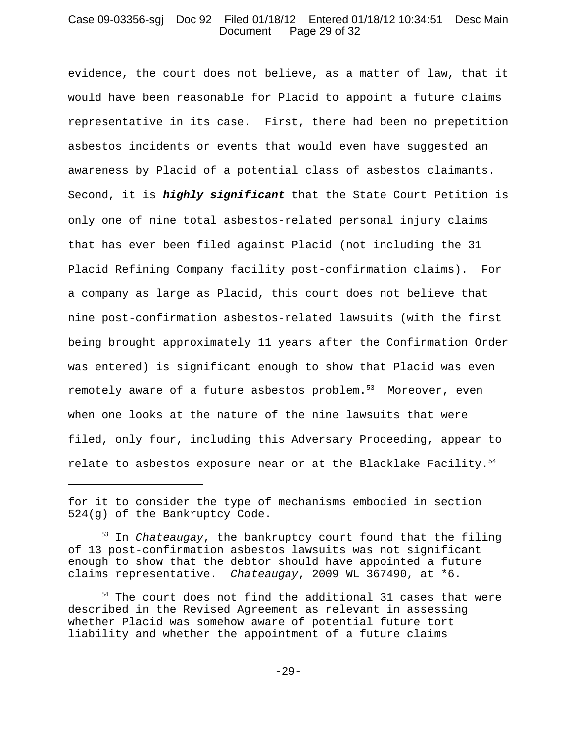# Case 09-03356-sgj Doc 92 Filed 01/18/12 Entered 01/18/12 10:34:51 Desc Main Document Page 29 of 32

evidence, the court does not believe, as a matter of law, that it would have been reasonable for Placid to appoint a future claims representative in its case. First, there had been no prepetition asbestos incidents or events that would even have suggested an awareness by Placid of a potential class of asbestos claimants. Second, it is *highly significant* that the State Court Petition is only one of nine total asbestos-related personal injury claims that has ever been filed against Placid (not including the 31 Placid Refining Company facility post-confirmation claims). For a company as large as Placid, this court does not believe that nine post-confirmation asbestos-related lawsuits (with the first being brought approximately 11 years after the Confirmation Order was entered) is significant enough to show that Placid was even remotely aware of a future asbestos problem.<sup>53</sup> Moreover, even when one looks at the nature of the nine lawsuits that were filed, only four, including this Adversary Proceeding, appear to relate to asbestos exposure near or at the Blacklake Facility. $54$ 

for it to consider the type of mechanisms embodied in section 524(g) of the Bankruptcy Code.

<sup>53</sup> In *Chateaugay*, the bankruptcy court found that the filing of 13 post-confirmation asbestos lawsuits was not significant enough to show that the debtor should have appointed a future claims representative. *Chateaugay*, 2009 WL 367490, at \*6.

<sup>&</sup>lt;sup>54</sup> The court does not find the additional 31 cases that were described in the Revised Agreement as relevant in assessing whether Placid was somehow aware of potential future tort liability and whether the appointment of a future claims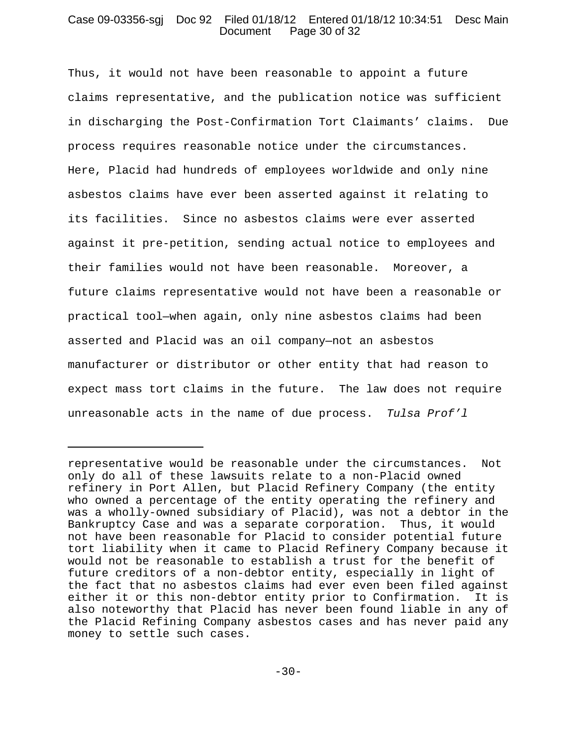# Case 09-03356-sgj Doc 92 Filed 01/18/12 Entered 01/18/12 10:34:51 Desc Main Document Page 30 of 32

Thus, it would not have been reasonable to appoint a future claims representative, and the publication notice was sufficient in discharging the Post-Confirmation Tort Claimants' claims. Due process requires reasonable notice under the circumstances. Here, Placid had hundreds of employees worldwide and only nine asbestos claims have ever been asserted against it relating to its facilities. Since no asbestos claims were ever asserted against it pre-petition, sending actual notice to employees and their families would not have been reasonable. Moreover, a future claims representative would not have been a reasonable or practical tool—when again, only nine asbestos claims had been asserted and Placid was an oil company—not an asbestos manufacturer or distributor or other entity that had reason to expect mass tort claims in the future. The law does not require unreasonable acts in the name of due process. *Tulsa Prof'l*

representative would be reasonable under the circumstances. Not only do all of these lawsuits relate to a non-Placid owned refinery in Port Allen, but Placid Refinery Company (the entity who owned a percentage of the entity operating the refinery and was a wholly-owned subsidiary of Placid), was not a debtor in the Bankruptcy Case and was a separate corporation. Thus, it would not have been reasonable for Placid to consider potential future tort liability when it came to Placid Refinery Company because it would not be reasonable to establish a trust for the benefit of future creditors of a non-debtor entity, especially in light of the fact that no asbestos claims had ever even been filed against either it or this non-debtor entity prior to Confirmation. It is also noteworthy that Placid has never been found liable in any of the Placid Refining Company asbestos cases and has never paid any money to settle such cases.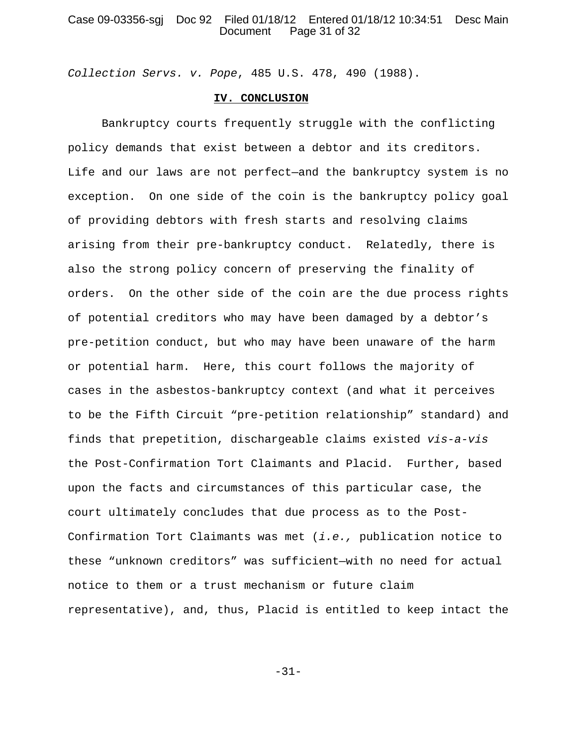# Case 09-03356-sgj Doc 92 Filed 01/18/12 Entered 01/18/12 10:34:51 Desc Main Document Page 31 of 32

*Collection Servs. v. Pope*, 485 U.S. 478, 490 (1988).

# **IV. CONCLUSION**

Bankruptcy courts frequently struggle with the conflicting policy demands that exist between a debtor and its creditors. Life and our laws are not perfect—and the bankruptcy system is no exception. On one side of the coin is the bankruptcy policy goal of providing debtors with fresh starts and resolving claims arising from their pre-bankruptcy conduct. Relatedly, there is also the strong policy concern of preserving the finality of orders. On the other side of the coin are the due process rights of potential creditors who may have been damaged by a debtor's pre-petition conduct, but who may have been unaware of the harm or potential harm. Here, this court follows the majority of cases in the asbestos-bankruptcy context (and what it perceives to be the Fifth Circuit "pre-petition relationship" standard) and finds that prepetition, dischargeable claims existed *vis-a-vis* the Post-Confirmation Tort Claimants and Placid. Further, based upon the facts and circumstances of this particular case, the court ultimately concludes that due process as to the Post-Confirmation Tort Claimants was met (*i.e.,* publication notice to these "unknown creditors" was sufficient—with no need for actual notice to them or a trust mechanism or future claim representative), and, thus, Placid is entitled to keep intact the

-31-